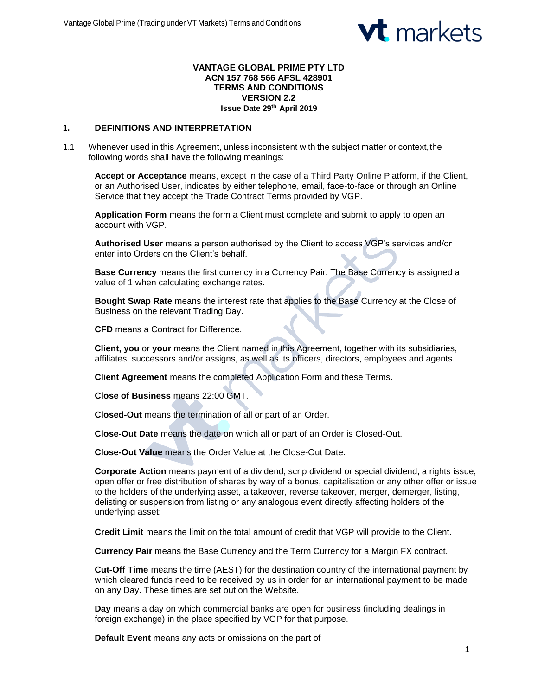

#### **VANTAGE GLOBAL PRIME PTY LTD ACN 157 768 566 AFSL 428901 TERMS AND CONDITIONS VERSION 2.2 Issue Date 29th April 2019**

### **1. DEFINITIONS AND INTERPRETATION**

1.1 Whenever used in this Agreement, unless inconsistent with the subject matter or context,the following words shall have the following meanings:

**Accept or Acceptance** means, except in the case of a Third Party Online Platform, if the Client, or an Authorised User, indicates by either telephone, email, face-to-face or through an Online Service that they accept the Trade Contract Terms provided by VGP.

**Application Form** means the form a Client must complete and submit to apply to open an account with VGP.

**Authorised User** means a person authorised by the Client to access VGP's services and/or enter into Orders on the Client's behalf.

**Base Currency** means the first currency in a Currency Pair. The Base Currency is assigned a value of 1 when calculating exchange rates.

**Bought Swap Rate** means the interest rate that applies to the Base Currency at the Close of Business on the relevant Trading Day.

**CFD** means a Contract for Difference.

**Client, you** or **your** means the Client named in this Agreement, together with its subsidiaries, affiliates, successors and/or assigns, as well as its officers, directors, employees and agents.

**Client Agreement** means the completed Application Form and these Terms.

**Close of Business** means 22:00 GMT.

**Closed-Out** means the termination of all or part of an Order.

**Close-Out Date** means the date on which all or part of an Order is Closed-Out.

**Close-Out Value** means the Order Value at the Close-Out Date.

**Corporate Action** means payment of a dividend, scrip dividend or special dividend, a rights issue, open offer or free distribution of shares by way of a bonus, capitalisation or any other offer or issue to the holders of the underlying asset, a takeover, reverse takeover, merger, demerger, listing, delisting or suspension from listing or any analogous event directly affecting holders of the underlying asset;

**Credit Limit** means the limit on the total amount of credit that VGP will provide to the Client.

**Currency Pair** means the Base Currency and the Term Currency for a Margin FX contract.

**Cut-Off Time** means the time (AEST) for the destination country of the international payment by which cleared funds need to be received by us in order for an international payment to be made on any Day. These times are set out on the Website.

**Day** means a day on which commercial banks are open for business (including dealings in foreign exchange) in the place specified by VGP for that purpose.

**Default Event** means any acts or omissions on the part of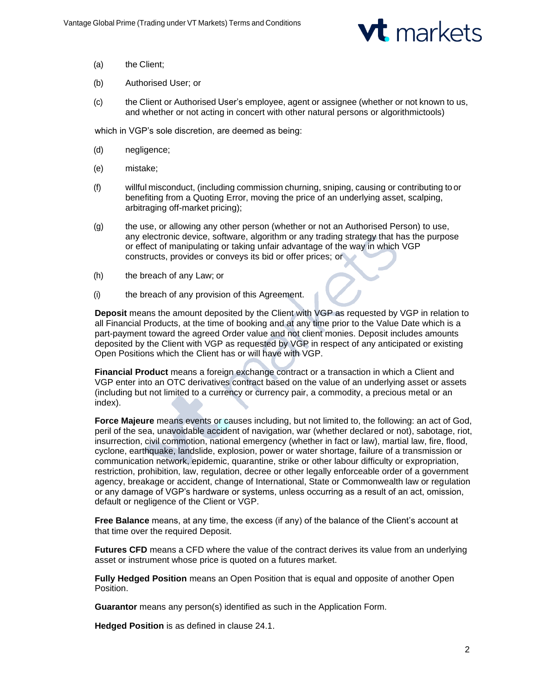

- (a) the Client;
- (b) Authorised User; or
- (c) the Client or Authorised User's employee, agent or assignee (whether or not known to us, and whether or not acting in concert with other natural persons or algorithmictools)

which in VGP's sole discretion, are deemed as being:

- (d) negligence;
- (e) mistake;
- (f) willful misconduct, (including commission churning, sniping, causing or contributing to or benefiting from a Quoting Error, moving the price of an underlying asset, scalping, arbitraging off-market pricing);
- (g) the use, or allowing any other person (whether or not an Authorised Person) to use, any electronic device, software, algorithm or any trading strategy that has the purpose or effect of manipulating or taking unfair advantage of the way in which VGP constructs, provides or conveys its bid or offer prices; or
- (h) the breach of any Law; or
- (i) the breach of any provision of this Agreement.

**Deposit** means the amount deposited by the Client with VGP as requested by VGP in relation to all Financial Products, at the time of booking and at any time prior to the Value Date which is a part-payment toward the agreed Order value and not client monies. Deposit includes amounts deposited by the Client with VGP as requested by VGP in respect of any anticipated or existing Open Positions which the Client has or will have with VGP.

**Financial Product** means a foreign exchange contract or a transaction in which a Client and VGP enter into an OTC derivatives contract based on the value of an underlying asset or assets (including but not limited to a currency or currency pair, a commodity, a precious metal or an index).

**Force Majeure** means events or causes including, but not limited to, the following: an act of God, peril of the sea, unavoidable accident of navigation, war (whether declared or not), sabotage, riot, insurrection, civil commotion, national emergency (whether in fact or law), martial law, fire, flood, cyclone, earthquake, landslide, explosion, power or water shortage, failure of a transmission or communication network, epidemic, quarantine, strike or other labour difficulty or expropriation, restriction, prohibition, law, regulation, decree or other legally enforceable order of a government agency, breakage or accident, change of International, State or Commonwealth law or regulation or any damage of VGP's hardware or systems, unless occurring as a result of an act, omission, default or negligence of the Client or VGP.

**Free Balance** means, at any time, the excess (if any) of the balance of the Client's account at that time over the required Deposit.

**Futures CFD** means a CFD where the value of the contract derives its value from an underlying asset or instrument whose price is quoted on a futures market.

**Fully Hedged Position** means an Open Position that is equal and opposite of another Open Position.

**Guarantor** means any person(s) identified as such in the Application Form.

**Hedged Position** is as defined in clause 24.1.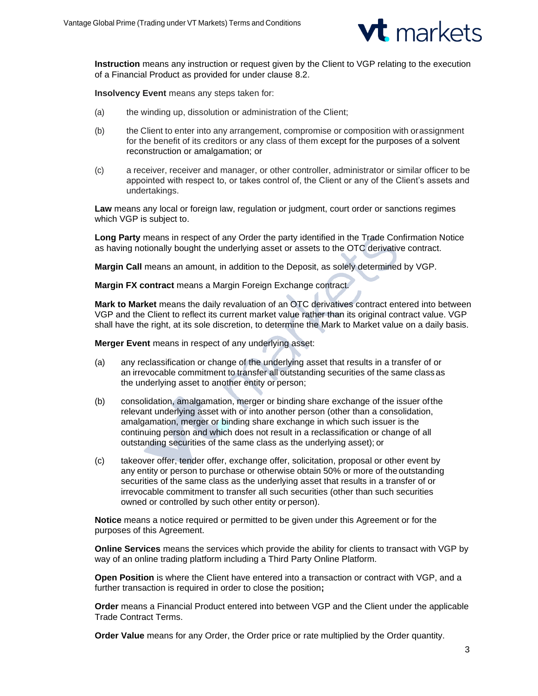

**Instruction** means any instruction or request given by the Client to VGP relating to the execution of a Financial Product as provided for under clause 8.2.

**Insolvency Event** means any steps taken for:

- (a) the winding up, dissolution or administration of the Client;
- (b) the Client to enter into any arrangement, compromise or composition with orassignment for the benefit of its creditors or any class of them except for the purposes of a solvent reconstruction or amalgamation; or
- (c) a receiver, receiver and manager, or other controller, administrator or similar officer to be appointed with respect to, or takes control of, the Client or any of the Client's assets and undertakings.

**Law** means any local or foreign law, regulation or judgment, court order or sanctions regimes which VGP is subject to.

**Long Party** means in respect of any Order the party identified in the Trade Confirmation Notice as having notionally bought the underlying asset or assets to the OTC derivative contract.

**Margin Call** means an amount, in addition to the Deposit, as solely determined by VGP.

**Margin FX contract** means a Margin Foreign Exchange contract.

**Mark to Market** means the daily revaluation of an OTC derivatives contract entered into between VGP and the Client to reflect its current market value rather than its original contract value. VGP shall have the right, at its sole discretion, to determine the Mark to Market value on a daily basis.

**Merger Event** means in respect of any underlying asset:

- (a) any reclassification or change of the underlying asset that results in a transfer of or an irrevocable commitment to transfer all outstanding securities of the same class as the underlying asset to another entity or person;
- (b) consolidation, amalgamation, merger or binding share exchange of the issuer ofthe relevant underlying asset with or into another person (other than a consolidation, amalgamation, merger or binding share exchange in which such issuer is the continuing person and which does not result in a reclassification or change of all outstanding securities of the same class as the underlying asset); or
- (c) takeover offer, tender offer, exchange offer, solicitation, proposal or other event by any entity or person to purchase or otherwise obtain 50% or more of the outstanding securities of the same class as the underlying asset that results in a transfer of or irrevocable commitment to transfer all such securities (other than such securities owned or controlled by such other entity or person).

**Notice** means a notice required or permitted to be given under this Agreement or for the purposes of this Agreement.

**Online Services** means the services which provide the ability for clients to transact with VGP by way of an online trading platform including a Third Party Online Platform.

**Open Position** is where the Client have entered into a transaction or contract with VGP, and a further transaction is required in order to close the position**;**

**Order** means a Financial Product entered into between VGP and the Client under the applicable Trade Contract Terms.

**Order Value** means for any Order, the Order price or rate multiplied by the Order quantity.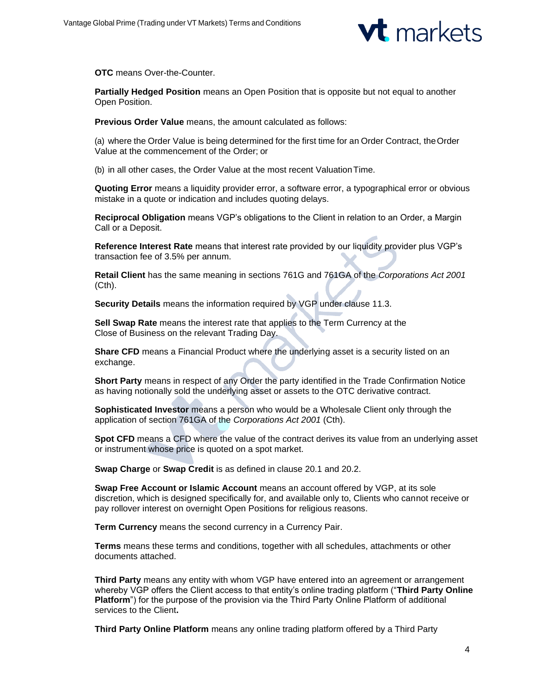

**OTC** means Over-the-Counter.

**Partially Hedged Position** means an Open Position that is opposite but not equal to another Open Position.

**Previous Order Value** means, the amount calculated as follows:

(a) where the Order Value is being determined for the first time for an Order Contract, theOrder Value at the commencement of the Order; or

(b) in all other cases, the Order Value at the most recent ValuationTime.

**Quoting Error** means a liquidity provider error, a software error, a typographical error or obvious mistake in a quote or indication and includes quoting delays.

**Reciprocal Obligation** means VGP's obligations to the Client in relation to an Order, a Margin Call or a Deposit.

**Reference Interest Rate** means that interest rate provided by our liquidity provider plus VGP's transaction fee of 3.5% per annum.

**Retail Client** has the same meaning in sections 761G and 761GA of the *Corporations Act 2001* (Cth).

**Security Details** means the information required by VGP under clause 11.3.

**Sell Swap Rate** means the interest rate that applies to the Term Currency at the Close of Business on the relevant Trading Day.

**Share CFD** means a Financial Product where the underlying asset is a security listed on an exchange.

**Short Party** means in respect of any Order the party identified in the Trade Confirmation Notice as having notionally sold the underlying asset or assets to the OTC derivative contract.

**Sophisticated Investor** means a person who would be a Wholesale Client only through the application of section 761GA of the *Corporations Act 2001* (Cth).

**Spot CFD** means a CFD where the value of the contract derives its value from an underlying asset or instrument whose price is quoted on a spot market.

**Swap Charge** or **Swap Credit** is as defined in clause 20.1 and 20.2.

**Swap Free Account or Islamic Account** means an account offered by VGP, at its sole discretion, which is designed specifically for, and available only to, Clients who cannot receive or pay rollover interest on overnight Open Positions for religious reasons.

**Term Currency** means the second currency in a Currency Pair.

**Terms** means these terms and conditions, together with all schedules, attachments or other documents attached.

**Third Party** means any entity with whom VGP have entered into an agreement or arrangement whereby VGP offers the Client access to that entity's online trading platform ("**Third Party Online Platform**") for the purpose of the provision via the Third Party Online Platform of additional services to the Client**.**

**Third Party Online Platform** means any online trading platform offered by a Third Party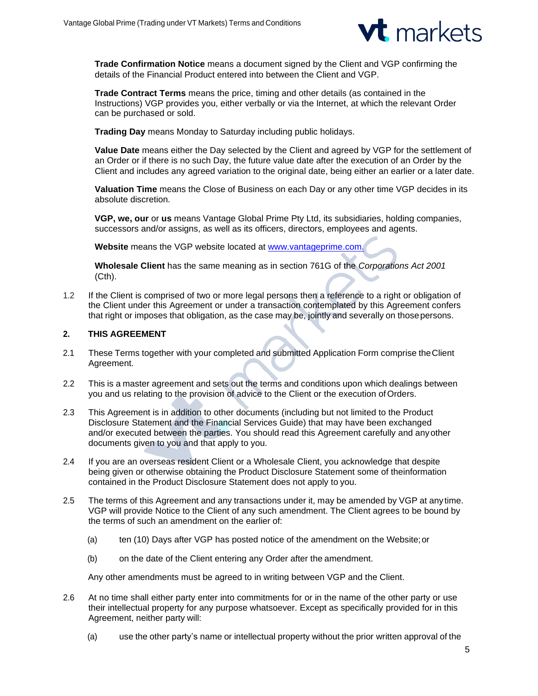

**Trade Confirmation Notice** means a document signed by the Client and VGP confirming the details of the Financial Product entered into between the Client and VGP.

**Trade Contract Terms** means the price, timing and other details (as contained in the Instructions) VGP provides you, either verbally or via the Internet, at which the relevant Order can be purchased or sold.

**Trading Day** means Monday to Saturday including public holidays.

**Value Date** means either the Day selected by the Client and agreed by VGP for the settlement of an Order or if there is no such Day, the future value date after the execution of an Order by the Client and includes any agreed variation to the original date, being either an earlier or a later date.

**Valuation Time** means the Close of Business on each Day or any other time VGP decides in its absolute discretion.

**VGP, we, our** or **us** means Vantage Global Prime Pty Ltd, its subsidiaries, holding companies, successors and/or assigns, as well as its officers, directors, employees and agents.

**Website** means the VGP website located at [www.vantageprime.com.](http://www.vantageprime.com./)

**Wholesale Client** has the same meaning as in section 761G of the *Corporations Act 2001* (Cth).

1.2 If the Client is comprised of two or more legal persons then a reference to a right or obligation of the Client under this Agreement or under a transaction contemplated by this Agreement confers that right or imposes that obligation, as the case may be, jointly and severally on thosepersons.

## **2. THIS AGREEMENT**

- 2.1 These Terms together with your completed and submitted Application Form comprise theClient Agreement.
- 2.2 This is a master agreement and sets out the terms and conditions upon which dealings between you and us relating to the provision of advice to the Client or the execution ofOrders.
- 2.3 This Agreement is in addition to other documents (including but not limited to the Product Disclosure Statement and the Financial Services Guide) that may have been exchanged and/or executed between the parties. You should read this Agreement carefully and anyother documents given to you and that apply to you.
- 2.4 If you are an overseas resident Client or a Wholesale Client, you acknowledge that despite being given or otherwise obtaining the Product Disclosure Statement some of theinformation contained in the Product Disclosure Statement does not apply to you.
- 2.5 The terms of this Agreement and any transactions under it, may be amended by VGP at any time. VGP will provide Notice to the Client of any such amendment. The Client agrees to be bound by the terms of such an amendment on the earlier of:
	- (a) ten (10) Days after VGP has posted notice of the amendment on the Website;or
	- (b) on the date of the Client entering any Order after the amendment.

Any other amendments must be agreed to in writing between VGP and the Client.

- 2.6 At no time shall either party enter into commitments for or in the name of the other party or use their intellectual property for any purpose whatsoever. Except as specifically provided for in this Agreement, neither party will:
	- (a) use the other party's name or intellectual property without the prior written approval of the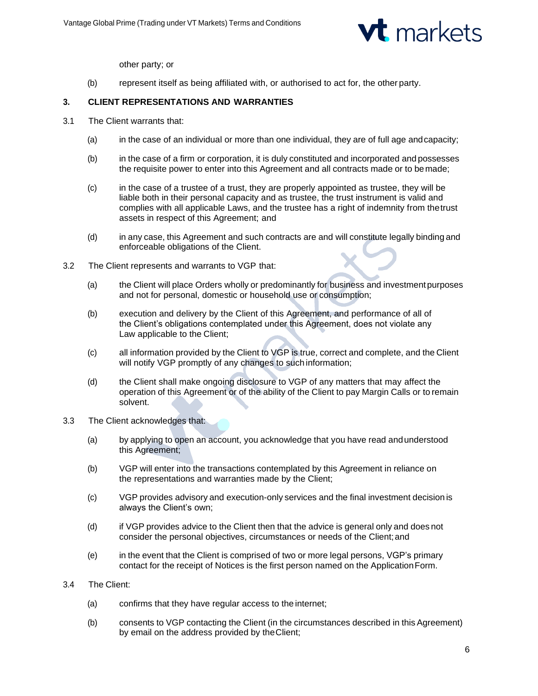

other party; or

(b) represent itself as being affiliated with, or authorised to act for, the other party.

## **3. CLIENT REPRESENTATIONS AND WARRANTIES**

- 3.1 The Client warrants that:
	- (a) in the case of an individual or more than one individual, they are of full age andcapacity;
	- (b) in the case of a firm or corporation, it is duly constituted and incorporated and possesses the requisite power to enter into this Agreement and all contracts made or to bemade;
	- (c) in the case of a trustee of a trust, they are properly appointed as trustee, they will be liable both in their personal capacity and as trustee, the trust instrument is valid and complies with all applicable Laws, and the trustee has a right of indemnity from thetrust assets in respect of this Agreement; and
	- (d) in any case, this Agreement and such contracts are and will constitute legally binding and enforceable obligations of the Client.
- 3.2 The Client represents and warrants to VGP that:
	- (a) the Client will place Orders wholly or predominantly for business and investmentpurposes and not for personal, domestic or household use or consumption;
	- (b) execution and delivery by the Client of this Agreement, and performance of all of the Client's obligations contemplated under this Agreement, does not violate any Law applicable to the Client;
	- (c) all information provided by the Client to VGP is true, correct and complete, and the Client will notify VGP promptly of any changes to such information;
	- (d) the Client shall make ongoing disclosure to VGP of any matters that may affect the operation of this Agreement or of the ability of the Client to pay Margin Calls or to remain solvent.
- 3.3 The Client acknowledges that:
	- (a) by applying to open an account, you acknowledge that you have read andunderstood this Agreement;
	- (b) VGP will enter into the transactions contemplated by this Agreement in reliance on the representations and warranties made by the Client;
	- (c) VGP provides advisory and execution-only services and the final investment decision is always the Client's own;
	- (d) if VGP provides advice to the Client then that the advice is general only and does not consider the personal objectives, circumstances or needs of the Client;and
	- (e) in the event that the Client is comprised of two or more legal persons, VGP's primary contact for the receipt of Notices is the first person named on the ApplicationForm.
- 3.4 The Client:
	- (a) confirms that they have regular access to the internet;
	- (b) consents to VGP contacting the Client (in the circumstances described in this Agreement) by email on the address provided by theClient;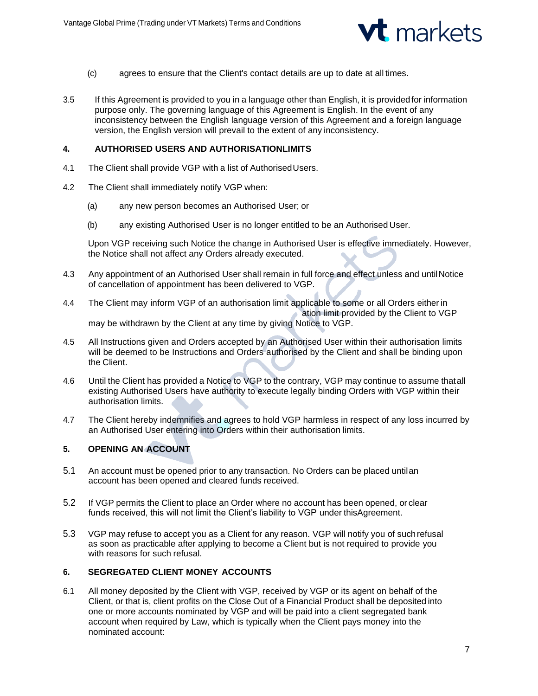

- (c) agrees to ensure that the Client's contact details are up to date at all times.
- 3.5 If this Agreement is provided to you in a language other than English, it is providedfor information purpose only. The governing language of this Agreement is English. In the event of any inconsistency between the English language version of this Agreement and a foreign language version, the English version will prevail to the extent of any inconsistency.

### **4. AUTHORISED USERS AND AUTHORISATIONLIMITS**

- 4.1 The Client shall provide VGP with a list of AuthorisedUsers.
- 4.2 The Client shall immediately notify VGP when:
	- (a) any new person becomes an Authorised User; or
	- (b) any existing Authorised User is no longer entitled to be an Authorised User.

Upon VGP receiving such Notice the change in Authorised User is effective immediately. However, the Notice shall not affect any Orders already executed.

- 4.3 Any appointment of an Authorised User shall remain in full force and effect unless and untilNotice of cancellation of appointment has been delivered to VGP.
- 4.4 The Client may inform VGP of an authorisation limit applicable to some or all Orders either in ation limit provided by the Client to VGP may be withdrawn by the Client at any time by giving Notice to VGP.
- 4.5 All Instructions given and Orders accepted by an Authorised User within their authorisation limits will be deemed to be Instructions and Orders authorised by the Client and shall be binding upon the Client.
- 4.6 Until the Client has provided a Notice to VGP to the contrary, VGP may continue to assume thatall existing Authorised Users have authority to execute legally binding Orders with VGP within their authorisation limits.
- 4.7 The Client hereby indemnifies and agrees to hold VGP harmless in respect of any loss incurred by an Authorised User entering into Orders within their authorisation limits.

# **5. OPENING AN ACCOUNT**

- 5.1 An account must be opened prior to any transaction. No Orders can be placed untilan account has been opened and cleared funds received.
- 5.2 If VGP permits the Client to place an Order where no account has been opened, or clear funds received, this will not limit the Client's liability to VGP under thisAgreement.
- 5.3 VGP may refuse to accept you as a Client for any reason. VGP will notify you of suchrefusal as soon as practicable after applying to become a Client but is not required to provide you with reasons for such refusal.

# **6. SEGREGATED CLIENT MONEY ACCOUNTS**

6.1 All money deposited by the Client with VGP, received by VGP or its agent on behalf of the Client, or that is, client profits on the Close Out of a Financial Product shall be deposited into one or more accounts nominated by VGP and will be paid into a client segregated bank account when required by Law, which is typically when the Client pays money into the nominated account: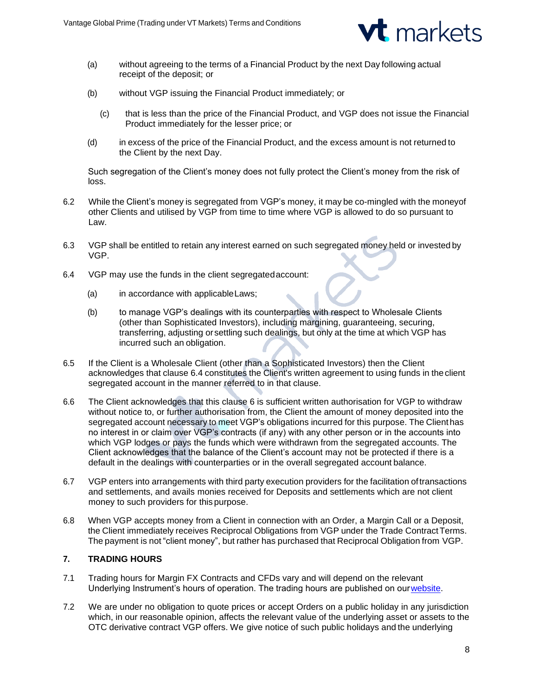

- (a) without agreeing to the terms of a Financial Product by the next Day following actual receipt of the deposit; or
- (b) without VGP issuing the Financial Product immediately; or
	- (c) that is less than the price of the Financial Product, and VGP does not issue the Financial Product immediately for the lesser price; or
- (d) in excess of the price of the Financial Product, and the excess amount is not returned to the Client by the next Day.

Such segregation of the Client's money does not fully protect the Client's money from the risk of loss.

- 6.2 While the Client's money is segregated from VGP's money, it may be co-mingled with the moneyof other Clients and utilised by VGP from time to time where VGP is allowed to do so pursuant to Law.
- 6.3 VGP shall be entitled to retain any interest earned on such segregated money held or invested by VGP.
- 6.4 VGP may use the funds in the client segregatedaccount:
	- (a) in accordance with applicableLaws;
	- (b) to manage VGP's dealings with its counterparties with respect to Wholesale Clients (other than Sophisticated Investors), including margining, guaranteeing, securing, transferring, adjusting orsettling such dealings, but only at the time at which VGP has incurred such an obligation.
- 6.5 If the Client is a Wholesale Client (other than a Sophisticated Investors) then the Client acknowledges that clause 6.4 constitutes the Client's written agreement to using funds in theclient segregated account in the manner referred to in that clause.
- 6.6 The Client acknowledges that this clause 6 is sufficient written authorisation for VGP to withdraw without notice to, or further authorisation from, the Client the amount of money deposited into the segregated account necessary to meet VGP's obligations incurred for this purpose. The Client has no interest in or claim over VGP's contracts (if any) with any other person or in the accounts into which VGP lodges or pays the funds which were withdrawn from the segregated accounts. The Client acknowledges that the balance of the Client's account may not be protected if there is a default in the dealings with counterparties or in the overall segregated account balance.
- 6.7 VGP enters into arrangements with third party execution providers for the facilitation oftransactions and settlements, and avails monies received for Deposits and settlements which are not client money to such providers for this purpose.
- 6.8 When VGP accepts money from a Client in connection with an Order, a Margin Call or a Deposit, the Client immediately receives Reciprocal Obligations from VGP under the Trade Contract Terms. The payment is not "client money", but rather has purchased that Reciprocal Obligation from VGP.

# **7. TRADING HOURS**

- 7.1 Trading hours for Margin FX Contracts and CFDs vary and will depend on the relevant Underlying Instrument's hours of operation. The trading hours are published on ou[rwebsite.](https://www.vantagefx.com/forex-trading/trading-conditions/trading-hours/)
- 7.2 We are under no obligation to quote prices or accept Orders on a public holiday in any jurisdiction which, in our reasonable opinion, affects the relevant value of the underlying asset or assets to the OTC derivative contract VGP offers. We give notice of such public holidays and the underlying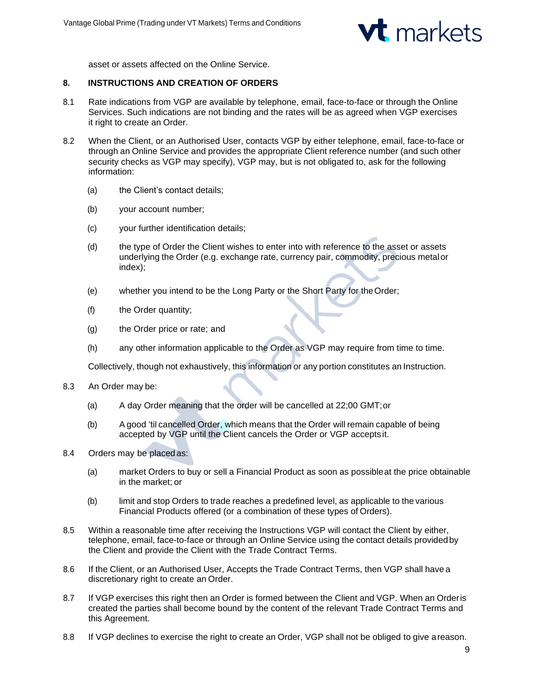

asset or assets affected on the Online Service.

## **8. INSTRUCTIONS AND CREATION OF ORDERS**

- 8.1 Rate indications from VGP are available by telephone, email, face-to-face or through the Online Services. Such indications are not binding and the rates will be as agreed when VGP exercises it right to create an Order.
- 8.2 When the Client, or an Authorised User, contacts VGP by either telephone, email, face-to-face or through an Online Service and provides the appropriate Client reference number (and such other security checks as VGP may specify), VGP may, but is not obligated to, ask for the following information:
	- (a) the Client's contact details:
	- (b) your account number;
	- (c) your further identification details;
	- (d) the type of Order the Client wishes to enter into with reference to the asset or assets underlying the Order (e.g. exchange rate, currency pair, commodity, precious metalor index);
	- (e) whether you intend to be the Long Party or the Short Party for theOrder;
	- (f) the Order quantity;
	- (g) the Order price or rate; and
	- (h) any other information applicable to the Order as VGP may require from time to time.

Collectively, though not exhaustively, this information or any portion constitutes an Instruction.

- 8.3 An Order may be:
	- (a) A day Order meaning that the order will be cancelled at 22;00 GMT;or
	- (b) A good 'til cancelled Order, which means that the Order will remain capable of being accepted by VGP until the Client cancels the Order or VGP accepts it.
- 8.4 Orders may be placed as:
	- (a) market Orders to buy or sell a Financial Product as soon as possibleat the price obtainable in the market; or
	- (b) limit and stop Orders to trade reaches a predefined level, as applicable to the various Financial Products offered (or a combination of these types of Orders).
- 8.5 Within a reasonable time after receiving the Instructions VGP will contact the Client by either, telephone, email, face-to-face or through an Online Service using the contact details providedby the Client and provide the Client with the Trade Contract Terms.
- 8.6 If the Client, or an Authorised User, Accepts the Trade Contract Terms, then VGP shall have a discretionary right to create an Order.
- 8.7 If VGP exercises this right then an Order is formed between the Client and VGP. When an Orderis created the parties shall become bound by the content of the relevant Trade Contract Terms and this Agreement.
- 8.8 If VGP declines to exercise the right to create an Order, VGP shall not be obliged to give areason.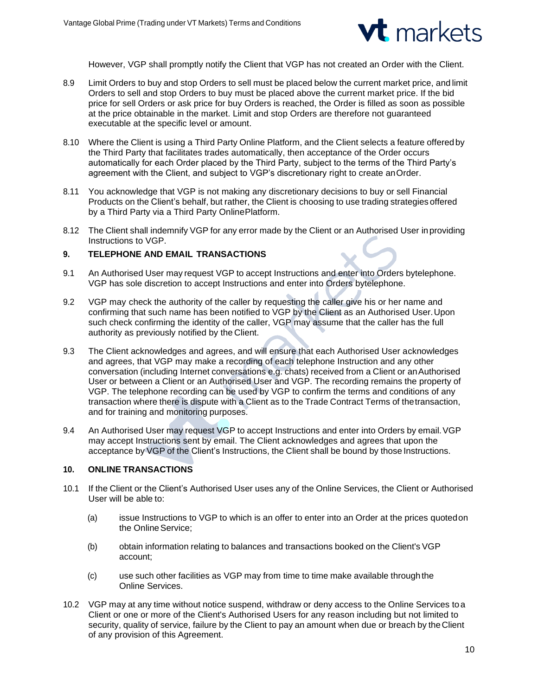

However, VGP shall promptly notify the Client that VGP has not created an Order with the Client.

- 8.9 Limit Orders to buy and stop Orders to sell must be placed below the current market price, and limit Orders to sell and stop Orders to buy must be placed above the current market price. If the bid price for sell Orders or ask price for buy Orders is reached, the Order is filled as soon as possible at the price obtainable in the market. Limit and stop Orders are therefore not guaranteed executable at the specific level or amount.
- 8.10 Where the Client is using a Third Party Online Platform, and the Client selects a feature offeredby the Third Party that facilitates trades automatically, then acceptance of the Order occurs automatically for each Order placed by the Third Party, subject to the terms of the Third Party's agreement with the Client, and subject to VGP's discretionary right to create anOrder.
- 8.11 You acknowledge that VGP is not making any discretionary decisions to buy or sell Financial Products on the Client's behalf, but rather, the Client is choosing to use trading strategies offered by a Third Party via a Third Party OnlinePlatform.
- 8.12 The Client shall indemnify VGP for any error made by the Client or an Authorised User inproviding Instructions to VGP.

### **9. TELEPHONE AND EMAIL TRANSACTIONS**

- 9.1 An Authorised User may request VGP to accept Instructions and enter into Orders bytelephone. VGP has sole discretion to accept Instructions and enter into Orders bytelephone.
- 9.2 VGP may check the authority of the caller by requesting the caller give his or her name and confirming that such name has been notified to VGP by the Client as an Authorised User.Upon such check confirming the identity of the caller, VGP may assume that the caller has the full authority as previously notified by the Client.
- 9.3 The Client acknowledges and agrees, and will ensure that each Authorised User acknowledges and agrees, that VGP may make a recording of each telephone Instruction and any other conversation (including Internet conversations e.g. chats) received from a Client or anAuthorised User or between a Client or an Authorised User and VGP. The recording remains the property of VGP. The telephone recording can be used by VGP to confirm the terms and conditions of any transaction where there is dispute with a Client as to the Trade Contract Terms of thetransaction, and for training and monitoring purposes.
- 9.4 An Authorised User may request VGP to accept Instructions and enter into Orders by email.VGP may accept Instructions sent by email. The Client acknowledges and agrees that upon the acceptance by VGP of the Client's Instructions, the Client shall be bound by those Instructions.

## **10. ONLINE TRANSACTIONS**

- 10.1 If the Client or the Client's Authorised User uses any of the Online Services, the Client or Authorised User will be able to:
	- (a) issue Instructions to VGP to which is an offer to enter into an Order at the prices quotedon the Online Service;
	- (b) obtain information relating to balances and transactions booked on the Client's VGP account;
	- (c) use such other facilities as VGP may from time to time make available throughthe Online Services.
- 10.2 VGP may at any time without notice suspend, withdraw or deny access to the Online Services toa Client or one or more of the Client's Authorised Users for any reason including but not limited to security, quality of service, failure by the Client to pay an amount when due or breach by theClient of any provision of this Agreement.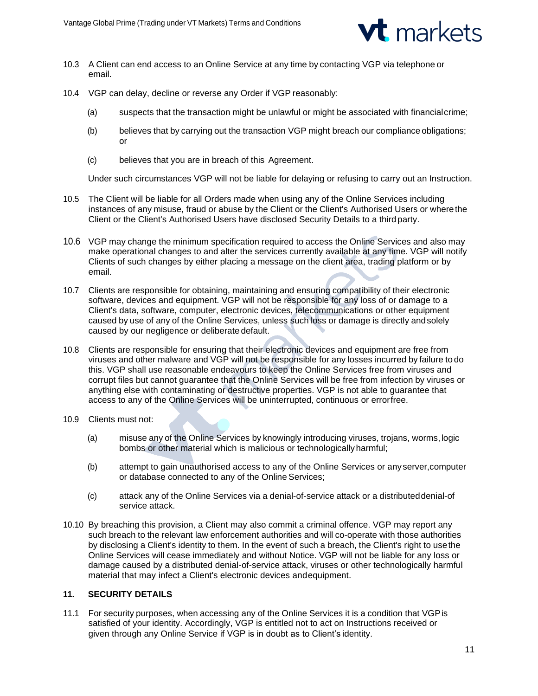

- 10.3 A Client can end access to an Online Service at any time by contacting VGP via telephone or email.
- 10.4 VGP can delay, decline or reverse any Order if VGP reasonably:
	- (a) suspects that the transaction might be unlawful or might be associated with financialcrime;
	- (b) believes that by carrying out the transaction VGP might breach our compliance obligations; or
	- (c) believes that you are in breach of this Agreement.

Under such circumstances VGP will not be liable for delaying or refusing to carry out an Instruction.

- 10.5 The Client will be liable for all Orders made when using any of the Online Services including instances of any misuse, fraud or abuse by the Client or the Client's Authorised Users or wherethe Client or the Client's Authorised Users have disclosed Security Details to a thirdparty.
- 10.6 VGP may change the minimum specification required to access the Online Services and also may make operational changes to and alter the services currently available at any time. VGP will notify Clients of such changes by either placing a message on the client area, trading platform or by email.
- 10.7 Clients are responsible for obtaining, maintaining and ensuring compatibility of their electronic software, devices and equipment. VGP will not be responsible for any loss of or damage to a Client's data, software, computer, electronic devices, telecommunications or other equipment caused by use of any of the Online Services, unless such loss or damage is directly andsolely caused by our negligence or deliberate default.
- 10.8 Clients are responsible for ensuring that their electronic devices and equipment are free from viruses and other malware and VGP will not be responsible for any losses incurred by failure to do this. VGP shall use reasonable endeavours to keep the Online Services free from viruses and corrupt files but cannot guarantee that the Online Services will be free from infection by viruses or anything else with contaminating or destructive properties. VGP is not able to guarantee that access to any of the Online Services will be uninterrupted, continuous or errorfree.
- 10.9 Clients must not:
	- (a) misuse any of the Online Services by knowingly introducing viruses, trojans, worms,logic bombs or other material which is malicious or technologically harmful;
	- (b) attempt to gain unauthorised access to any of the Online Services or anyserver,computer or database connected to any of the Online Services;
	- (c) attack any of the Online Services via a denial-of-service attack or a distributeddenial-of service attack.
- 10.10 By breaching this provision, a Client may also commit a criminal offence. VGP may report any such breach to the relevant law enforcement authorities and will co-operate with those authorities by disclosing a Client's identity to them. In the event of such a breach, the Client's right to usethe Online Services will cease immediately and without Notice. VGP will not be liable for any loss or damage caused by a distributed denial-of-service attack, viruses or other technologically harmful material that may infect a Client's electronic devices andequipment.

# **11. SECURITY DETAILS**

11.1 For security purposes, when accessing any of the Online Services it is a condition that VGPis satisfied of your identity. Accordingly, VGP is entitled not to act on Instructions received or given through any Online Service if VGP is in doubt as to Client's identity.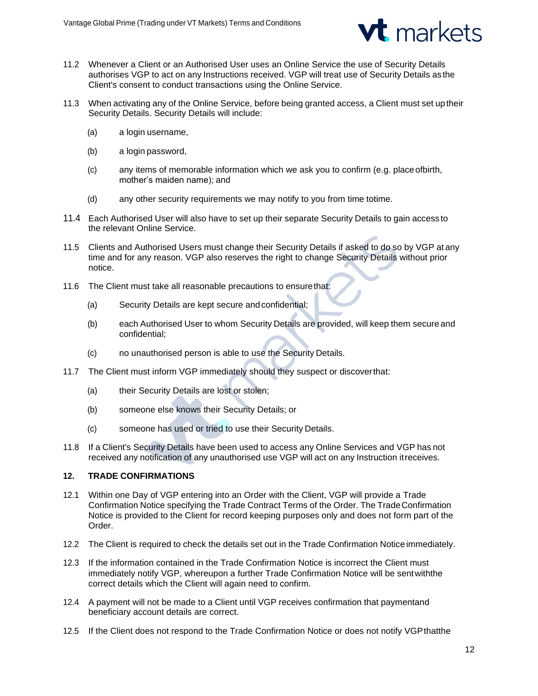

- 11.2 Whenever a Client or an Authorised User uses an Online Service the use of Security Details authorises VGP to act on any Instructions received. VGP will treat use of Security Details asthe Client's consent to conduct transactions using the Online Service.
- 11.3 When activating any of the Online Service, before being granted access, a Client must set up their Security Details. Security Details will include:
	- (a) a login username,
	- (b) a login password,
	- (c) any items of memorable information which we ask you to confirm (e.g. placeofbirth, mother's maiden name); and
	- (d) any other security requirements we may notify to you from time totime.
- 11.4 Each Authorised User will also have to set up their separate Security Details to gain access to the relevant Online Service.
- 11.5 Clients and Authorised Users must change their Security Details if asked to do so by VGP at any time and for any reason. VGP also reserves the right to change Security Details without prior notice.
- 11.6 The Client must take all reasonable precautions to ensurethat:
	- (a) Security Details are kept secure andconfidential;
	- (b) each Authorised User to whom Security Details are provided, will keep them secure and confidential;
	- (c) no unauthorised person is able to use the Security Details.
- 11.7 The Client must inform VGP immediately should they suspect or discoverthat:
	- (a) their Security Details are lost or stolen;
	- (b) someone else knows their Security Details; or
	- (c) someone has used or tried to use their Security Details.
- 11.8 If a Client's Security Details have been used to access any Online Services and VGP has not received any notification of any unauthorised use VGP will act on any Instruction itreceives.

# **12. TRADE CONFIRMATIONS**

- 12.1 Within one Day of VGP entering into an Order with the Client, VGP will provide a Trade Confirmation Notice specifying the Trade Contract Terms of the Order. The TradeConfirmation Notice is provided to the Client for record keeping purposes only and does not form part of the Order.
- 12.2 The Client is required to check the details set out in the Trade Confirmation Noticeimmediately.
- 12.3 If the information contained in the Trade Confirmation Notice is incorrect the Client must immediately notify VGP, whereupon a further Trade Confirmation Notice will be sentwiththe correct details which the Client will again need to confirm.
- 12.4 A payment will not be made to a Client until VGP receives confirmation that paymentand beneficiary account details are correct.
- 12.5 If the Client does not respond to the Trade Confirmation Notice or does not notify VGPthatthe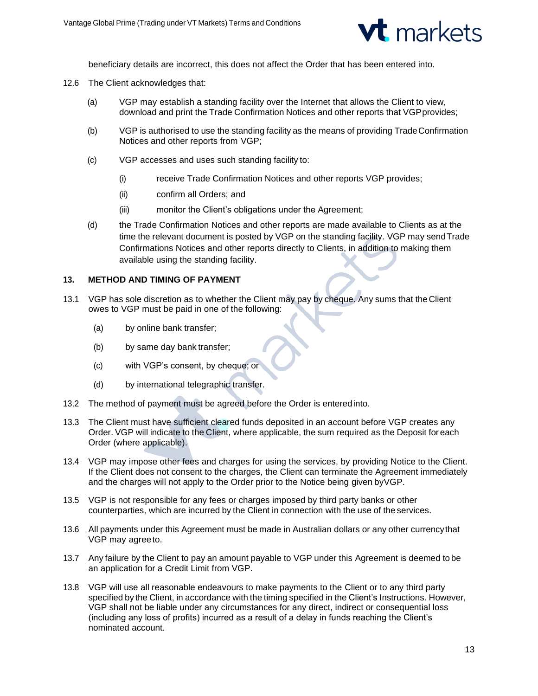

beneficiary details are incorrect, this does not affect the Order that has been entered into.

- 12.6 The Client acknowledges that:
	- (a) VGP may establish a standing facility over the Internet that allows the Client to view, download and print the Trade Confirmation Notices and other reports that VGP provides;
	- (b) VGP is authorised to use the standing facility as the means of providing TradeConfirmation Notices and other reports from VGP;
	- (c) VGP accesses and uses such standing facility to:
		- (i) receive Trade Confirmation Notices and other reports VGP provides;
		- (ii) confirm all Orders; and
		- (iii) monitor the Client's obligations under the Agreement;
	- (d) the Trade Confirmation Notices and other reports are made available to Clients as at the time the relevant document is posted by VGP on the standing facility. VGP may sendTrade Confirmations Notices and other reports directly to Clients, in addition to making them available using the standing facility.

#### **13. METHOD AND TIMING OF PAYMENT**

- 13.1 VGP has sole discretion as to whether the Client may pay by cheque. Any sums that the Client owes to VGP must be paid in one of the following:
	- (a) by online bank transfer;
	- (b) by same day bank transfer;
	- (c) with VGP's consent, by cheque; or
	- (d) by international telegraphic transfer.
- 13.2 The method of payment must be agreed before the Order is enteredinto.
- 13.3 The Client must have sufficient cleared funds deposited in an account before VGP creates any Order. VGP will indicate to the Client, where applicable, the sum required as the Deposit foreach Order (where applicable).
- 13.4 VGP may impose other fees and charges for using the services, by providing Notice to the Client. If the Client does not consent to the charges, the Client can terminate the Agreement immediately and the charges will not apply to the Order prior to the Notice being given byVGP.
- 13.5 VGP is not responsible for any fees or charges imposed by third party banks or other counterparties, which are incurred by the Client in connection with the use of the services.
- 13.6 All payments under this Agreement must be made in Australian dollars or any other currencythat VGP may agreeto.
- 13.7 Any failure by the Client to pay an amount payable to VGP under this Agreement is deemed to be an application for a Credit Limit from VGP.
- 13.8 VGP will use all reasonable endeavours to make payments to the Client or to any third party specified by the Client, in accordance with the timing specified in the Client's Instructions. However, VGP shall not be liable under any circumstances for any direct, indirect or consequential loss (including any loss of profits) incurred as a result of a delay in funds reaching the Client's nominated account.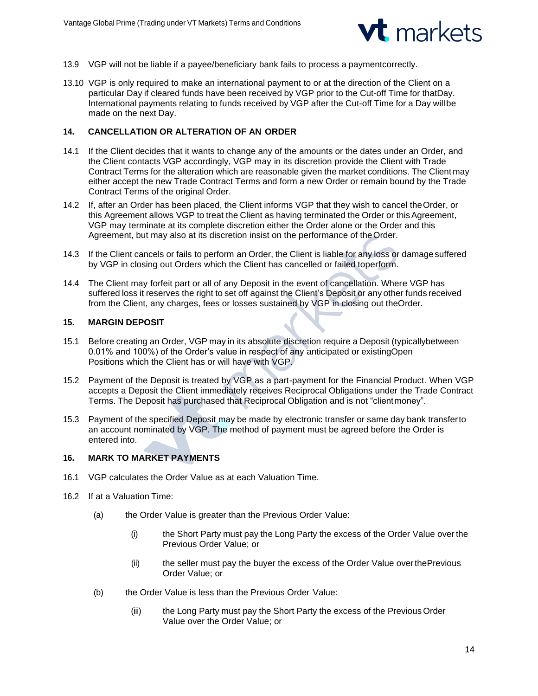

- 13.9 VGP will not be liable if a payee/beneficiary bank fails to process a paymentcorrectly.
- 13.10 VGP is only required to make an international payment to or at the direction of the Client on a particular Day if cleared funds have been received by VGP prior to the Cut-off Time for thatDay. International payments relating to funds received by VGP after the Cut-off Time for a Day willbe made on the next Day.

## **14. CANCELLATION OR ALTERATION OF AN ORDER**

- 14.1 If the Client decides that it wants to change any of the amounts or the dates under an Order, and the Client contacts VGP accordingly, VGP may in its discretion provide the Client with Trade Contract Terms for the alteration which are reasonable given the market conditions. The Client may either accept the new Trade Contract Terms and form a new Order or remain bound by the Trade Contract Terms of the original Order.
- 14.2 If, after an Order has been placed, the Client informs VGP that they wish to cancel theOrder, or this Agreement allows VGP to treat the Client as having terminated the Order or this Agreement, VGP may terminate at its complete discretion either the Order alone or the Order and this Agreement, but may also at its discretion insist on the performance of theOrder.
- 14.3 If the Client cancels or fails to perform an Order, the Client is liable for any loss or damagesuffered by VGP in closing out Orders which the Client has cancelled or failed toperform.
- 14.4 The Client may forfeit part or all of any Deposit in the event of cancellation. Where VGP has suffered loss it reserves the right to set off against the Client's Deposit or any other funds received from the Client, any charges, fees or losses sustained by VGP in closing out theOrder.

## **15. MARGIN DEPOSIT**

- 15.1 Before creating an Order, VGP may in its absolute discretion require a Deposit (typicallybetween 0.01% and 100%) of the Order's value in respect of any anticipated or existingOpen Positions which the Client has or will have with VGP.
- 15.2 Payment of the Deposit is treated by VGP as a part-payment for the Financial Product. When VGP accepts a Deposit the Client immediately receives Reciprocal Obligations under the Trade Contract Terms. The Deposit has purchased that Reciprocal Obligation and is not "clientmoney".
- 15.3 Payment of the specified Deposit may be made by electronic transfer or same day bank transferto an account nominated by VGP. The method of payment must be agreed before the Order is entered into.

# **16. MARK TO MARKET PAYMENTS**

- 16.1 VGP calculates the Order Value as at each Valuation Time.
- 16.2 If at a Valuation Time:
	- (a) the Order Value is greater than the Previous Order Value:
		- (i) the Short Party must pay the Long Party the excess of the Order Value over the Previous Order Value; or
		- (ii) the seller must pay the buyer the excess of the Order Value overthePrevious Order Value; or
	- (b) the Order Value is less than the Previous Order Value:
		- (iii) the Long Party must pay the Short Party the excess of the Previous Order Value over the Order Value; or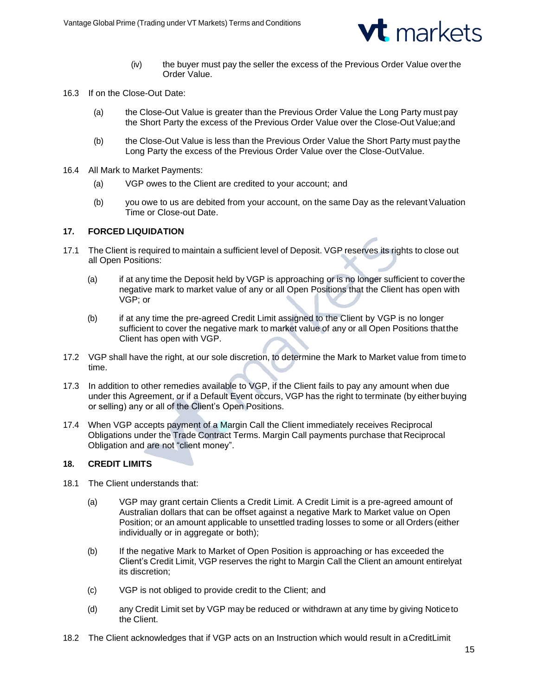

- (iv) the buyer must pay the seller the excess of the Previous Order Value overthe Order Value.
- 16.3 If on the Close-Out Date:
	- (a) the Close-Out Value is greater than the Previous Order Value the Long Party must pay the Short Party the excess of the Previous Order Value over the Close-Out Value;and
	- (b) the Close-Out Value is less than the Previous Order Value the Short Party must paythe Long Party the excess of the Previous Order Value over the Close-OutValue.
- 16.4 All Mark to Market Payments:
	- (a) VGP owes to the Client are credited to your account; and
	- (b) you owe to us are debited from your account, on the same Day as the relevantValuation Time or Close-out Date.

# **17. FORCED LIQUIDATION**

- 17.1 The Client is required to maintain a sufficient level of Deposit. VGP reserves its rights to close out all Open Positions:
	- (a) if at any time the Deposit held by VGP is approaching or is no longer sufficient to coverthe negative mark to market value of any or all Open Positions that the Client has open with VGP; or
	- (b) if at any time the pre-agreed Credit Limit assigned to the Client by VGP is no longer sufficient to cover the negative mark to market value of any or all Open Positions thatthe Client has open with VGP.
- 17.2 VGP shall have the right, at our sole discretion, to determine the Mark to Market value from timeto time.
- 17.3 In addition to other remedies available to VGP, if the Client fails to pay any amount when due under this Agreement, or if a Default Event occurs, VGP has the right to terminate (by either buying or selling) any or all of the Client's Open Positions.
- 17.4 When VGP accepts payment of a Margin Call the Client immediately receives Reciprocal Obligations under the Trade Contract Terms. Margin Call payments purchase that Reciprocal Obligation and are not "client money".

### **18. CREDIT LIMITS**

- 18.1 The Client understands that:
	- (a) VGP may grant certain Clients a Credit Limit. A Credit Limit is a pre-agreed amount of Australian dollars that can be offset against a negative Mark to Market value on Open Position; or an amount applicable to unsettled trading losses to some or all Orders (either individually or in aggregate or both);
	- (b) If the negative Mark to Market of Open Position is approaching or has exceeded the Client's Credit Limit, VGP reserves the right to Margin Call the Client an amount entirelyat its discretion;
	- (c) VGP is not obliged to provide credit to the Client; and
	- (d) any Credit Limit set by VGP may be reduced or withdrawn at any time by giving Noticeto the Client.
- 18.2 The Client acknowledges that if VGP acts on an Instruction which would result in aCreditLimit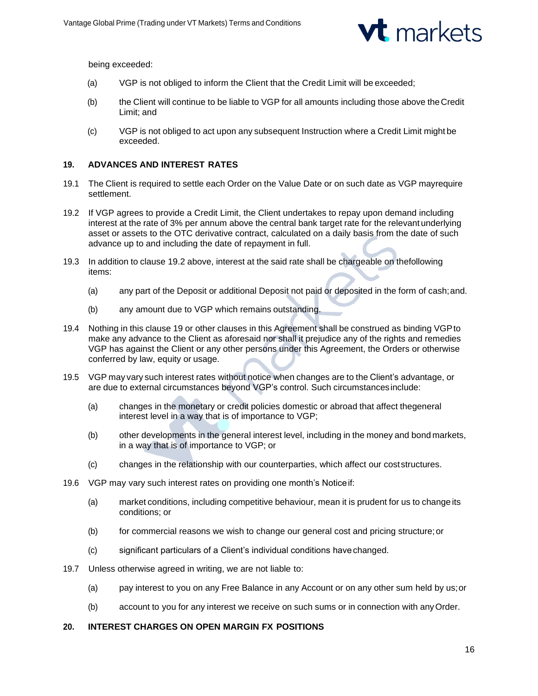

being exceeded:

- (a) VGP is not obliged to inform the Client that the Credit Limit will be exceeded;
- (b) the Client will continue to be liable to VGP for all amounts including those above theCredit Limit; and
- (c) VGP is not obliged to act upon any subsequent Instruction where a Credit Limit might be exceeded.

## **19. ADVANCES AND INTEREST RATES**

- 19.1 The Client is required to settle each Order on the Value Date or on such date as VGP mayrequire settlement.
- 19.2 If VGP agrees to provide a Credit Limit, the Client undertakes to repay upon demand including interest at the rate of 3% per annum above the central bank target rate for the relevant underlying asset or assets to the OTC derivative contract, calculated on a daily basis from the date of such advance up to and including the date of repayment in full.
- 19.3 In addition to clause 19.2 above, interest at the said rate shall be chargeable on thefollowing items:
	- (a) any part of the Deposit or additional Deposit not paid or deposited in the form of cash;and.
	- (b) any amount due to VGP which remains outstanding.
- 19.4 Nothing in this clause 19 or other clauses in this Agreement shall be construed as binding VGPto make any advance to the Client as aforesaid nor shall it prejudice any of the rights and remedies VGP has against the Client or any other persons under this Agreement, the Orders or otherwise conferred by law, equity or usage.
- 19.5 VGP may vary such interest rates without notice when changes are to the Client's advantage, or are due to external circumstances beyond VGP's control. Such circumstancesinclude:
	- (a) changes in the monetary or credit policies domestic or abroad that affect thegeneral interest level in a way that is of importance to VGP;
	- (b) other developments in the general interest level, including in the money and bond markets, in a way that is of importance to VGP; or
	- (c) changes in the relationship with our counterparties, which affect our coststructures.
- 19.6 VGP may vary such interest rates on providing one month's Noticeif:
	- (a) market conditions, including competitive behaviour, mean it is prudent for us to change its conditions; or
	- (b) for commercial reasons we wish to change our general cost and pricing structure;or
	- (c) significant particulars of a Client's individual conditions havechanged.
- 19.7 Unless otherwise agreed in writing, we are not liable to:
	- (a) pay interest to you on any Free Balance in any Account or on any other sum held by us;or
	- (b) account to you for any interest we receive on such sums or in connection with anyOrder.

### **20. INTEREST CHARGES ON OPEN MARGIN FX POSITIONS**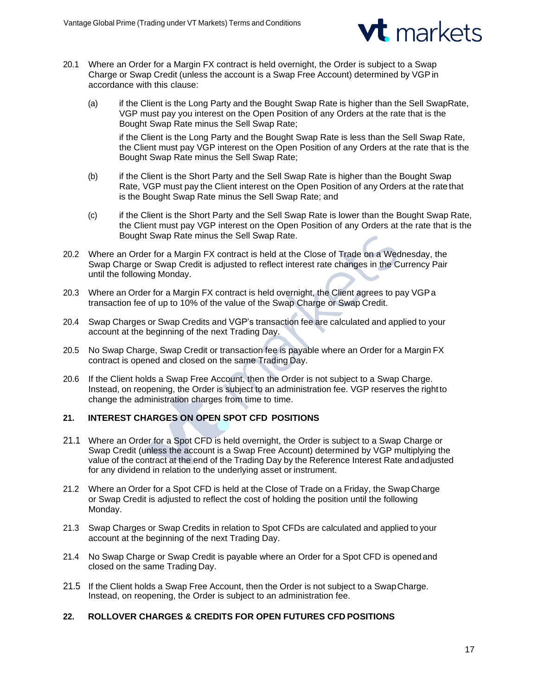

- 20.1 Where an Order for a Margin FX contract is held overnight, the Order is subject to a Swap Charge or Swap Credit (unless the account is a Swap Free Account) determined by VGP in accordance with this clause:
	- (a) if the Client is the Long Party and the Bought Swap Rate is higher than the Sell SwapRate, VGP must pay you interest on the Open Position of any Orders at the rate that is the Bought Swap Rate minus the Sell Swap Rate;

if the Client is the Long Party and the Bought Swap Rate is less than the Sell Swap Rate, the Client must pay VGP interest on the Open Position of any Orders at the rate that is the Bought Swap Rate minus the Sell Swap Rate;

- (b) if the Client is the Short Party and the Sell Swap Rate is higher than the Bought Swap Rate, VGP must pay the Client interest on the Open Position of any Orders at the rate that is the Bought Swap Rate minus the Sell Swap Rate; and
- (c) if the Client is the Short Party and the Sell Swap Rate is lower than the Bought Swap Rate, the Client must pay VGP interest on the Open Position of any Orders at the rate that is the Bought Swap Rate minus the Sell Swap Rate.
- 20.2 Where an Order for a Margin FX contract is held at the Close of Trade on a Wednesday, the Swap Charge or Swap Credit is adjusted to reflect interest rate changes in the Currency Pair until the following Monday.
- 20.3 Where an Order for a Margin FX contract is held overnight, the Client agrees to pay VGPa transaction fee of up to 10% of the value of the Swap Charge or Swap Credit.
- 20.4 Swap Charges or Swap Credits and VGP's transaction fee are calculated and applied to your account at the beginning of the next Trading Day.
- 20.5 No Swap Charge, Swap Credit or transaction fee is payable where an Order for a Margin FX contract is opened and closed on the same Trading Day.
- 20.6 If the Client holds a Swap Free Account, then the Order is not subject to a Swap Charge. Instead, on reopening, the Order is subject to an administration fee. VGP reserves the rightto change the administration charges from time to time.

# **21. INTEREST CHARGES ON OPEN SPOT CFD POSITIONS**

- 21.1 Where an Order for a Spot CFD is held overnight, the Order is subject to a Swap Charge or Swap Credit (unless the account is a Swap Free Account) determined by VGP multiplying the value of the contract at the end of the Trading Day by the Reference Interest Rate andadjusted for any dividend in relation to the underlying asset or instrument.
- 21.2 Where an Order for a Spot CFD is held at the Close of Trade on a Friday, the Swap Charge or Swap Credit is adjusted to reflect the cost of holding the position until the following Monday.
- 21.3 Swap Charges or Swap Credits in relation to Spot CFDs are calculated and applied to your account at the beginning of the next Trading Day.
- 21.4 No Swap Charge or Swap Credit is payable where an Order for a Spot CFD is openedand closed on the same Trading Day.
- 21.5 If the Client holds a Swap Free Account, then the Order is not subject to a SwapCharge. Instead, on reopening, the Order is subject to an administration fee.

# **22. ROLLOVER CHARGES & CREDITS FOR OPEN FUTURES CFD POSITIONS**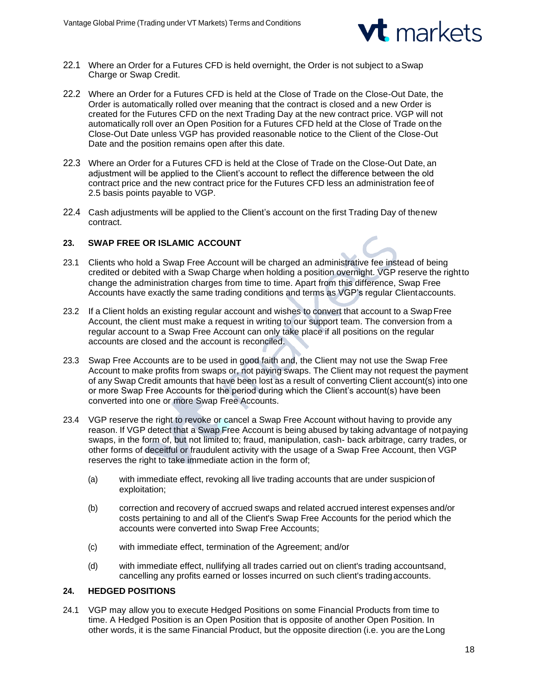

- 22.1 Where an Order for a Futures CFD is held overnight, the Order is not subject to aSwap Charge or Swap Credit.
- 22.2 Where an Order for a Futures CFD is held at the Close of Trade on the Close-Out Date, the Order is automatically rolled over meaning that the contract is closed and a new Order is created for the Futures CFD on the next Trading Day at the new contract price. VGP will not automatically roll over an Open Position for a Futures CFD held at the Close of Trade on the Close-Out Date unless VGP has provided reasonable notice to the Client of the Close-Out Date and the position remains open after this date.
- 22.3 Where an Order for a Futures CFD is held at the Close of Trade on the Close-Out Date, an adjustment will be applied to the Client's account to reflect the difference between the old contract price and the new contract price for the Futures CFD less an administration feeof 2.5 basis points payable to VGP.
- 22.4 Cash adjustments will be applied to the Client's account on the first Trading Day of thenew contract.

## **23. SWAP FREE OR ISLAMIC ACCOUNT**

- 23.1 Clients who hold a Swap Free Account will be charged an administrative fee instead of being credited or debited with a Swap Charge when holding a position overnight. VGP reserve the rightto change the administration charges from time to time. Apart from this difference, Swap Free Accounts have exactly the same trading conditions and terms as VGP's regular Clientaccounts.
- 23.2 If a Client holds an existing regular account and wishes to convert that account to a SwapFree Account, the client must make a request in writing to our support team. The conversion from a regular account to a Swap Free Account can only take place if all positions on the regular accounts are closed and the account is reconciled.
- 23.3 Swap Free Accounts are to be used in good faith and, the Client may not use the Swap Free Account to make profits from swaps or, not paying swaps. The Client may not request the payment of any Swap Credit amounts that have been lost as a result of converting Client account(s) into one or more Swap Free Accounts for the period during which the Client's account(s) have been converted into one or more Swap Free Accounts.
- 23.4 VGP reserve the right to revoke or cancel a Swap Free Account without having to provide any reason. If VGP detect that a Swap Free Account is being abused by taking advantage of notpaying swaps, in the form of, but not limited to; fraud, manipulation, cash- back arbitrage, carry trades, or other forms of deceitful or fraudulent activity with the usage of a Swap Free Account, then VGP reserves the right to take immediate action in the form of;
	- (a) with immediate effect, revoking all live trading accounts that are under suspicionof exploitation;
	- (b) correction and recovery of accrued swaps and related accrued interest expenses and/or costs pertaining to and all of the Client's Swap Free Accounts for the period which the accounts were converted into Swap Free Accounts;
	- (c) with immediate effect, termination of the Agreement; and/or
	- (d) with immediate effect, nullifying all trades carried out on client's trading accountsand, cancelling any profits earned or losses incurred on such client's tradingaccounts.

## **24. HEDGED POSITIONS**

24.1 VGP may allow you to execute Hedged Positions on some Financial Products from time to time. A Hedged Position is an Open Position that is opposite of another Open Position. In other words, it is the same Financial Product, but the opposite direction (i.e. you are the Long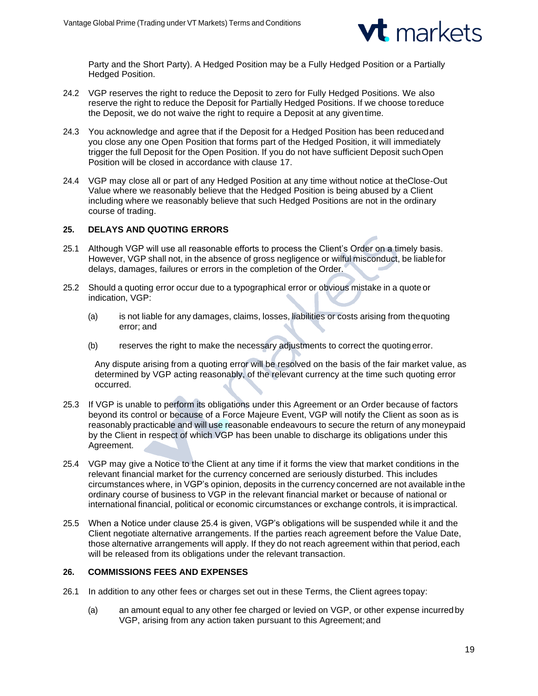

Party and the Short Party). A Hedged Position may be a Fully Hedged Position or a Partially Hedged Position.

- 24.2 VGP reserves the right to reduce the Deposit to zero for Fully Hedged Positions. We also reserve the right to reduce the Deposit for Partially Hedged Positions. If we choose toreduce the Deposit, we do not waive the right to require a Deposit at any giventime.
- 24.3 You acknowledge and agree that if the Deposit for a Hedged Position has been reducedand you close any one Open Position that forms part of the Hedged Position, it will immediately trigger the full Deposit for the Open Position. If you do not have sufficient Deposit suchOpen Position will be closed in accordance with clause 17.
- 24.4 VGP may close all or part of any Hedged Position at any time without notice at theClose-Out Value where we reasonably believe that the Hedged Position is being abused by a Client including where we reasonably believe that such Hedged Positions are not in the ordinary course of trading.

## **25. DELAYS AND QUOTING ERRORS**

- 25.1 Although VGP will use all reasonable efforts to process the Client's Order on a timely basis. However, VGP shall not, in the absence of gross negligence or wilful misconduct, be liablefor delays, damages, failures or errors in the completion of the Order.
- 25.2 Should a quoting error occur due to a typographical error or obvious mistake in a quote or indication, VGP:
	- (a) is not liable for any damages, claims, losses, liabilities or costs arising from thequoting error; and
	- (b) reserves the right to make the necessary adjustments to correct the quoting error.

Any dispute arising from a quoting error will be resolved on the basis of the fair market value, as determined by VGP acting reasonably, of the relevant currency at the time such quoting error occurred.

- 25.3 If VGP is unable to perform its obligations under this Agreement or an Order because of factors beyond its control or because of a Force Majeure Event, VGP will notify the Client as soon as is reasonably practicable and will use reasonable endeavours to secure the return of any moneypaid by the Client in respect of which VGP has been unable to discharge its obligations under this Agreement.
- 25.4 VGP may give a Notice to the Client at any time if it forms the view that market conditions in the relevant financial market for the currency concerned are seriously disturbed. This includes circumstances where, in VGP's opinion, deposits in the currency concerned are not available inthe ordinary course of business to VGP in the relevant financial market or because of national or international financial, political or economic circumstances or exchange controls, it is impractical.
- 25.5 When a Notice under clause 25.4 is given, VGP's obligations will be suspended while it and the Client negotiate alternative arrangements. If the parties reach agreement before the Value Date, those alternative arrangements will apply. If they do not reach agreement within that period,each will be released from its obligations under the relevant transaction.

# **26. COMMISSIONS FEES AND EXPENSES**

- 26.1 In addition to any other fees or charges set out in these Terms, the Client agrees topay:
	- (a) an amount equal to any other fee charged or levied on VGP, or other expense incurredby VGP, arising from any action taken pursuant to this Agreement;and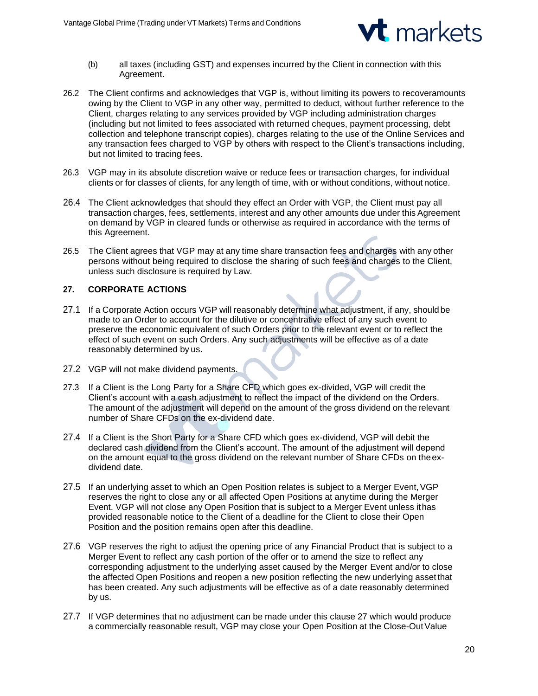

- (b) all taxes (including GST) and expenses incurred by the Client in connection with this Agreement.
- 26.2 The Client confirms and acknowledges that VGP is, without limiting its powers to recoveramounts owing by the Client to VGP in any other way, permitted to deduct, without further reference to the Client, charges relating to any services provided by VGP including administration charges (including but not limited to fees associated with returned cheques, payment processing, debt collection and telephone transcript copies), charges relating to the use of the Online Services and any transaction fees charged to VGP by others with respect to the Client's transactions including, but not limited to tracing fees.
- 26.3 VGP may in its absolute discretion waive or reduce fees or transaction charges, for individual clients or for classes of clients, for any length of time, with or without conditions, without notice.
- 26.4 The Client acknowledges that should they effect an Order with VGP, the Client must pay all transaction charges, fees, settlements, interest and any other amounts due under this Agreement on demand by VGP in cleared funds or otherwise as required in accordance with the terms of this Agreement.
- 26.5 The Client agrees that VGP may at any time share transaction fees and charges with any other persons without being required to disclose the sharing of such fees and charges to the Client, unless such disclosure is required by Law.

# **27. CORPORATE ACTIONS**

- 27.1 If a Corporate Action occurs VGP will reasonably determine what adjustment, if any, shouldbe made to an Order to account for the dilutive or concentrative effect of any such event to preserve the economic equivalent of such Orders prior to the relevant event or to reflect the effect of such event on such Orders. Any such adjustments will be effective as of a date reasonably determined by us.
- 27.2 VGP will not make dividend payments.
- 27.3 If a Client is the Long Party for a Share CFD which goes ex-divided, VGP will credit the Client's account with a cash adjustment to reflect the impact of the dividend on the Orders. The amount of the adjustment will depend on the amount of the gross dividend on the relevant number of Share CFDs on the ex-dividend date.
- 27.4 If a Client is the Short Party for a Share CFD which goes ex-dividend, VGP will debit the declared cash dividend from the Client's account. The amount of the adjustment will depend on the amount equal to the gross dividend on the relevant number of Share CFDs on theexdividend date.
- 27.5 If an underlying asset to which an Open Position relates is subject to a Merger Event, VGP reserves the right to close any or all affected Open Positions at anytime during the Merger Event. VGP will not close any Open Position that is subject to a Merger Event unless ithas provided reasonable notice to the Client of a deadline for the Client to close their Open Position and the position remains open after this deadline.
- 27.6 VGP reserves the right to adjust the opening price of any Financial Product that is subject to a Merger Event to reflect any cash portion of the offer or to amend the size to reflect any corresponding adjustment to the underlying asset caused by the Merger Event and/or to close the affected Open Positions and reopen a new position reflecting the new underlying asset that has been created. Any such adjustments will be effective as of a date reasonably determined by us.
- 27.7 If VGP determines that no adjustment can be made under this clause 27 which would produce a commercially reasonable result, VGP may close your Open Position at the Close-OutValue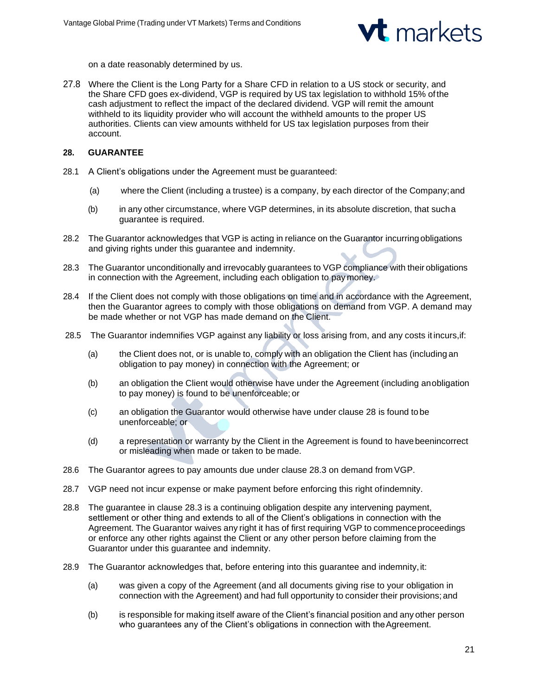

on a date reasonably determined by us.

27.8 Where the Client is the Long Party for a Share CFD in relation to a US stock or security, and the Share CFD goes ex-dividend, VGP is required by US tax legislation to withhold 15% ofthe cash adjustment to reflect the impact of the declared dividend. VGP will remit the amount withheld to its liquidity provider who will account the withheld amounts to the proper US authorities. Clients can view amounts withheld for US tax legislation purposes from their account.

### **28. GUARANTEE**

- 28.1 A Client's obligations under the Agreement must be guaranteed:
	- (a) where the Client (including a trustee) is a company, by each director of the Company;and
	- (b) in any other circumstance, where VGP determines, in its absolute discretion, that sucha guarantee is required.
- 28.2 The Guarantor acknowledges that VGP is acting in reliance on the Guarantor incurring obligations and giving rights under this guarantee and indemnity.
- 28.3 The Guarantor unconditionally and irrevocably guarantees to VGP compliance with their obligations in connection with the Agreement, including each obligation to pay money.
- 28.4 If the Client does not comply with those obligations on time and in accordance with the Agreement, then the Guarantor agrees to comply with those obligations on demand from VGP. A demand may be made whether or not VGP has made demand on the Client.
- 28.5 The Guarantor indemnifies VGP against any liability or loss arising from, and any costs it incurs,if:
	- (a) the Client does not, or is unable to, comply with an obligation the Client has (including an obligation to pay money) in connection with the Agreement; or
	- (b) an obligation the Client would otherwise have under the Agreement (including anobligation to pay money) is found to be unenforceable; or
	- (c) an obligation the Guarantor would otherwise have under clause 28 is found tobe unenforceable; or
	- (d) a representation or warranty by the Client in the Agreement is found to havebeenincorrect or misleading when made or taken to be made.
- 28.6 The Guarantor agrees to pay amounts due under clause 28.3 on demand from VGP.
- 28.7 VGP need not incur expense or make payment before enforcing this right ofindemnity.
- 28.8 The guarantee in clause 28.3 is a continuing obligation despite any intervening payment, settlement or other thing and extends to all of the Client's obligations in connection with the Agreement. The Guarantor waives any right it has of first requiring VGP to commenceproceedings or enforce any other rights against the Client or any other person before claiming from the Guarantor under this guarantee and indemnity.
- 28.9 The Guarantor acknowledges that, before entering into this guarantee and indemnity,it:
	- (a) was given a copy of the Agreement (and all documents giving rise to your obligation in connection with the Agreement) and had full opportunity to consider their provisions; and
	- (b) is responsible for making itself aware of the Client's financial position and any other person who guarantees any of the Client's obligations in connection with theAgreement.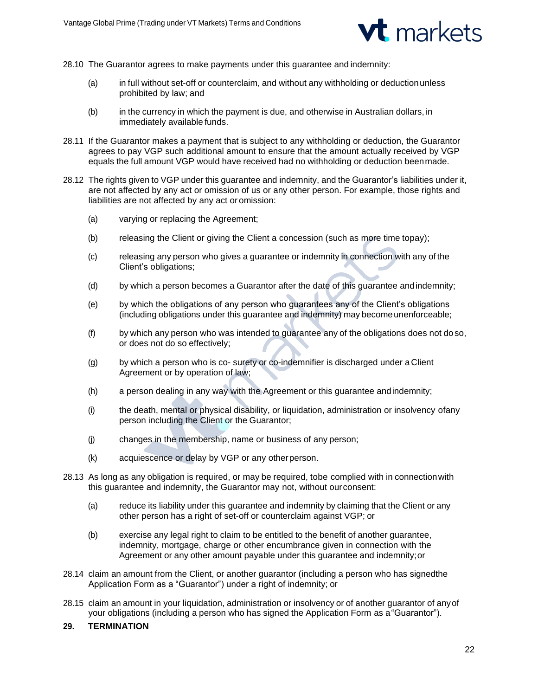

- 28.10 The Guarantor agrees to make payments under this guarantee and indemnity:
	- (a) in full without set-off or counterclaim, and without any withholding or deductionunless prohibited by law; and
	- (b) in the currency in which the payment is due, and otherwise in Australian dollars, in immediately available funds.
- 28.11 If the Guarantor makes a payment that is subject to any withholding or deduction, the Guarantor agrees to pay VGP such additional amount to ensure that the amount actually received by VGP equals the full amount VGP would have received had no withholding or deduction beenmade.
- 28.12 The rights given to VGP under this guarantee and indemnity, and the Guarantor's liabilities under it, are not affected by any act or omission of us or any other person. For example, those rights and liabilities are not affected by any act or omission:
	- (a) varying or replacing the Agreement;
	- (b) releasing the Client or giving the Client a concession (such as more time topay);
	- (c) releasing any person who gives a guarantee or indemnity in connection with any of the Client's obligations;
	- (d) by which a person becomes a Guarantor after the date of this guarantee andindemnity;
	- (e) by which the obligations of any person who guarantees any of the Client's obligations (including obligations under this guarantee and indemnity) may become unenforceable;
	- (f) by which any person who was intended to guarantee any of the obligations does not do so, or does not do so effectively;
	- (g) by which a person who is co- surety or co-indemnifier is discharged under a Client Agreement or by operation of law;
	- (h) a person dealing in any way with the Agreement or this guarantee andindemnity;
	- (i) the death, mental or physical disability, or liquidation, administration or insolvency ofany person including the Client or the Guarantor;
	- (j) changes in the membership, name or business of any person;
	- (k) acquiescence or delay by VGP or any otherperson.
- 28.13 As long as any obligation is required, or may be required, tobe complied with in connectionwith this guarantee and indemnity, the Guarantor may not, without ourconsent:
	- (a) reduce its liability under this guarantee and indemnity by claiming that the Client or any other person has a right of set-off or counterclaim against VGP; or
	- (b) exercise any legal right to claim to be entitled to the benefit of another guarantee, indemnity, mortgage, charge or other encumbrance given in connection with the Agreement or any other amount payable under this guarantee and indemnity;or
- 28.14 claim an amount from the Client, or another guarantor (including a person who has signedthe Application Form as a "Guarantor") under a right of indemnity; or
- 28.15 claim an amount in your liquidation, administration or insolvency or of another guarantor of anyof your obligations (including a person who has signed the Application Form as a"Guarantor").

### **29. TERMINATION**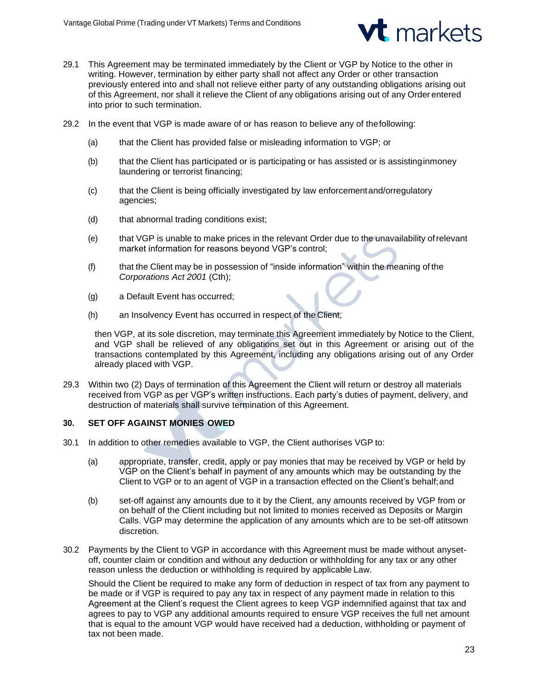

- 29.1 This Agreement may be terminated immediately by the Client or VGP by Notice to the other in writing. However, termination by either party shall not affect any Order or other transaction previously entered into and shall not relieve either party of any outstanding obligations arising out of this Agreement, nor shall it relieve the Client of any obligations arising out of any Order entered into prior to such termination.
- 29.2 In the event that VGP is made aware of or has reason to believe any of thefollowing:
	- (a) that the Client has provided false or misleading information to VGP; or
	- (b) that the Client has participated or is participating or has assisted or is assistinginmoney laundering or terrorist financing;
	- (c) that the Client is being officially investigated by law enforcementand/orregulatory agencies;
	- (d) that abnormal trading conditions exist;
	- (e) that VGP is unable to make prices in the relevant Order due to the unavailability ofrelevant market information for reasons beyond VGP's control;
	- (f) that the Client may be in possession of "inside information" within the meaning of the *Corporations Act 2001* (Cth);
	- (g) a Default Event has occurred;
	- (h) an Insolvency Event has occurred in respect of the Client,

then VGP, at its sole discretion, may terminate this Agreement immediately by Notice to the Client, and VGP shall be relieved of any obligations set out in this Agreement or arising out of the transactions contemplated by this Agreement, including any obligations arising out of any Order already placed with VGP.

29.3 Within two (2) Days of termination of this Agreement the Client will return or destroy all materials received from VGP as per VGP's written instructions. Each party's duties of payment, delivery, and destruction of materials shall survive termination of this Agreement.

# **30. SET OFF AGAINST MONIES OWED**

- 30.1 In addition to other remedies available to VGP, the Client authorises VGP to:
	- (a) appropriate, transfer, credit, apply or pay monies that may be received by VGP or held by VGP on the Client's behalf in payment of any amounts which may be outstanding by the Client to VGP or to an agent of VGP in a transaction effected on the Client's behalf;and
	- (b) set-off against any amounts due to it by the Client, any amounts received by VGP from or on behalf of the Client including but not limited to monies received as Deposits or Margin Calls. VGP may determine the application of any amounts which are to be set-off atitsown discretion.
- 30.2 Payments by the Client to VGP in accordance with this Agreement must be made without anysetoff, counter claim or condition and without any deduction or withholding for any tax or any other reason unless the deduction or withholding is required by applicable Law.

Should the Client be required to make any form of deduction in respect of tax from any payment to be made or if VGP is required to pay any tax in respect of any payment made in relation to this Agreement at the Client's request the Client agrees to keep VGP indemnified against that tax and agrees to pay to VGP any additional amounts required to ensure VGP receives the full net amount that is equal to the amount VGP would have received had a deduction, withholding or payment of tax not been made.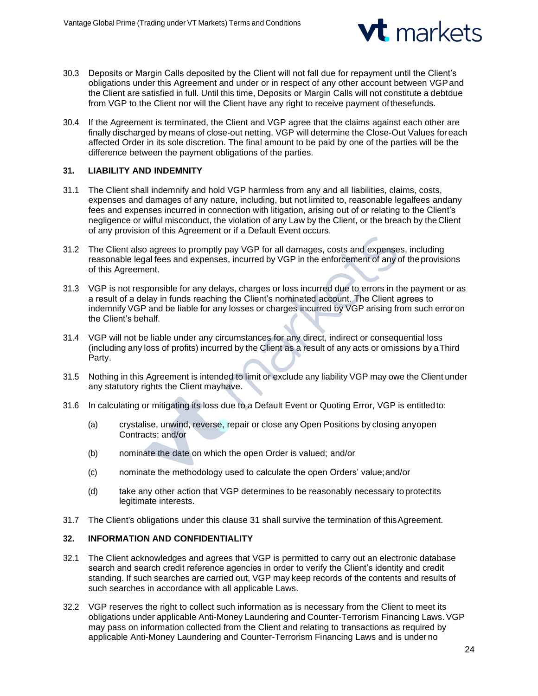

- 30.3 Deposits or Margin Calls deposited by the Client will not fall due for repayment until the Client's obligations under this Agreement and under or in respect of any other account between VGPand the Client are satisfied in full. Until this time, Deposits or Margin Calls will not constitute a debtdue from VGP to the Client nor will the Client have any right to receive payment ofthesefunds.
- 30.4 If the Agreement is terminated, the Client and VGP agree that the claims against each other are finally discharged by means of close-out netting. VGP will determine the Close-Out Values foreach affected Order in its sole discretion. The final amount to be paid by one of the parties will be the difference between the payment obligations of the parties.

# **31. LIABILITY AND INDEMNITY**

- 31.1 The Client shall indemnify and hold VGP harmless from any and all liabilities, claims, costs, expenses and damages of any nature, including, but not limited to, reasonable legalfees andany fees and expenses incurred in connection with litigation, arising out of or relating to the Client's negligence or wilful misconduct, the violation of any Law by the Client, or the breach by theClient of any provision of this Agreement or if a Default Event occurs.
- 31.2 The Client also agrees to promptly pay VGP for all damages, costs and expenses, including reasonable legal fees and expenses, incurred by VGP in the enforcement of any of theprovisions of this Agreement.
- 31.3 VGP is not responsible for any delays, charges or loss incurred due to errors in the payment or as a result of a delay in funds reaching the Client's nominated account. The Client agrees to indemnify VGP and be liable for any losses or charges incurred by VGP arising from such error on the Client's behalf.
- 31.4 VGP will not be liable under any circumstances for any direct, indirect or consequential loss (including any loss of profits) incurred by the Client as a result of any acts or omissions by aThird Party.
- 31.5 Nothing in this Agreement is intended to limit or exclude any liability VGP may owe the Client under any statutory rights the Client mayhave.
- 31.6 In calculating or mitigating its loss due to a Default Event or Quoting Error, VGP is entitledto:
	- (a) crystalise, unwind, reverse, repair or close any Open Positions by closing anyopen Contracts; and/or
	- (b) nominate the date on which the open Order is valued; and/or
	- (c) nominate the methodology used to calculate the open Orders' value;and/or
	- (d) take any other action that VGP determines to be reasonably necessary toprotectits legitimate interests.
- 31.7 The Client's obligations under this clause 31 shall survive the termination of this Agreement.

# **32. INFORMATION AND CONFIDENTIALITY**

- 32.1 The Client acknowledges and agrees that VGP is permitted to carry out an electronic database search and search credit reference agencies in order to verify the Client's identity and credit standing. If such searches are carried out, VGP may keep records of the contents and results of such searches in accordance with all applicable Laws.
- 32.2 VGP reserves the right to collect such information as is necessary from the Client to meet its obligations under applicable Anti-Money Laundering and Counter-Terrorism Financing Laws. VGP may pass on information collected from the Client and relating to transactions as required by applicable Anti-Money Laundering and Counter-Terrorism Financing Laws and is under no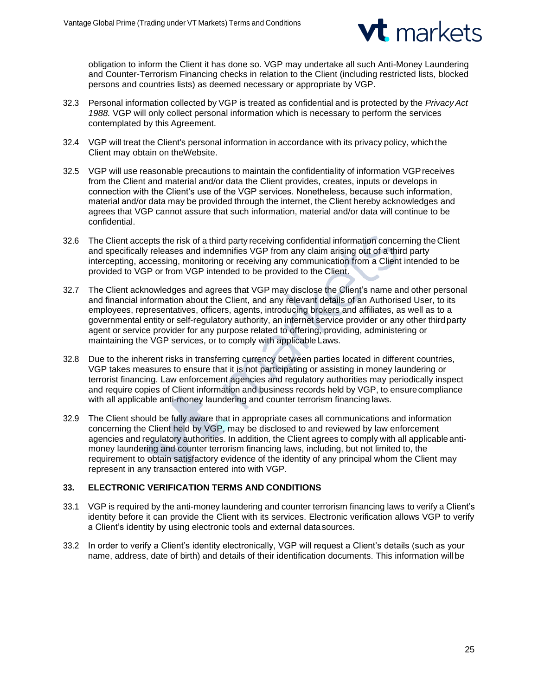

obligation to inform the Client it has done so. VGP may undertake all such Anti-Money Laundering and Counter-Terrorism Financing checks in relation to the Client (including restricted lists, blocked persons and countries lists) as deemed necessary or appropriate by VGP.

- 32.3 Personal information collected by VGP is treated as confidential and is protected by the *PrivacyAct 1988.* VGP will only collect personal information which is necessary to perform the services contemplated by this Agreement.
- 32.4 VGP will treat the Client's personal information in accordance with its privacy policy, which the Client may obtain on theWebsite.
- 32.5 VGP will use reasonable precautions to maintain the confidentiality of information VGPreceives from the Client and material and/or data the Client provides, creates, inputs or develops in connection with the Client's use of the VGP services. Nonetheless, because such information, material and/or data may be provided through the internet, the Client hereby acknowledges and agrees that VGP cannot assure that such information, material and/or data will continue to be confidential.
- 32.6 The Client accepts the risk of a third party receiving confidential information concerning the Client and specifically releases and indemnifies VGP from any claim arising out of a third party intercepting, accessing, monitoring or receiving any communication from a Client intended to be provided to VGP or from VGP intended to be provided to the Client.
- 32.7 The Client acknowledges and agrees that VGP may disclose the Client's name and other personal and financial information about the Client, and any relevant details of an Authorised User, to its employees, representatives, officers, agents, introducing brokers and affiliates, as well as to a governmental entity or self-regulatory authority, an internet service provider or any other thirdparty agent or service provider for any purpose related to offering, providing, administering or maintaining the VGP services, or to comply with applicable Laws.
- 32.8 Due to the inherent risks in transferring currency between parties located in different countries, VGP takes measures to ensure that it is not participating or assisting in money laundering or terrorist financing. Law enforcement agencies and regulatory authorities may periodically inspect and require copies of Client information and business records held by VGP, to ensurecompliance with all applicable anti-money laundering and counter terrorism financing laws.
- 32.9 The Client should be fully aware that in appropriate cases all communications and information concerning the Client held by VGP, may be disclosed to and reviewed by law enforcement agencies and regulatory authorities. In addition, the Client agrees to comply with all applicableantimoney laundering and counter terrorism financing laws, including, but not limited to, the requirement to obtain satisfactory evidence of the identity of any principal whom the Client may represent in any transaction entered into with VGP.

# **33. ELECTRONIC VERIFICATION TERMS AND CONDITIONS**

- 33.1 VGP is required by the anti-money laundering and counter terrorism financing laws to verify a Client's identity before it can provide the Client with its services. Electronic verification allows VGP to verify a Client's identity by using electronic tools and external datasources.
- 33.2 In order to verify a Client's identity electronically, VGP will request a Client's details (such as your name, address, date of birth) and details of their identification documents. This information will be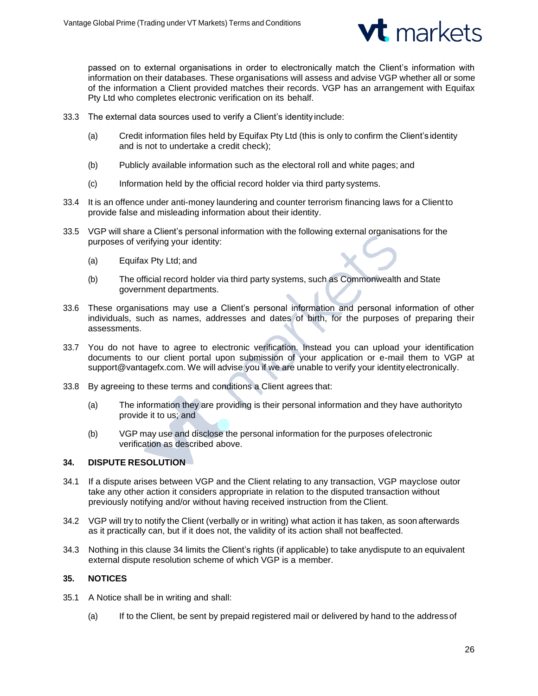

passed on to external organisations in order to electronically match the Client's information with information on their databases. These organisations will assess and advise VGP whether all or some of the information a Client provided matches their records. VGP has an arrangement with Equifax Pty Ltd who completes electronic verification on its behalf.

- 33.3 The external data sources used to verify a Client's identity include:
	- (a) Credit information files held by Equifax Pty Ltd (this is only to confirm the Client's identity and is not to undertake a credit check);
	- (b) Publicly available information such as the electoral roll and white pages; and
	- (c) Information held by the official record holder via third party systems.
- 33.4 It is an offence under anti-money laundering and counter terrorism financing laws for a Clientto provide false and misleading information about their identity.
- 33.5 VGP will share a Client's personal information with the following external organisations for the purposes of verifying your identity:
	- (a) Equifax Pty Ltd; and
	- (b) The official record holder via third party systems, such as Commonwealth and State government departments.
- 33.6 These organisations may use a Client's personal information and personal information of other individuals, such as names, addresses and dates of birth, for the purposes of preparing their assessments.
- 33.7 You do not have to agree to electronic verification. Instead you can upload your identification documents to our client portal upon submission of your application or e-mail them to VGP a[t](mailto:support@vantagefx.com) [support@vantagefx.com.](mailto:support@vantagefx.com) We will advise you if we are unable to verify your identityelectronically.
- 33.8 By agreeing to these terms and conditions a Client agrees that:
	- (a) The information they are providing is their personal information and they have authorityto provide it to us; and
	- (b) VGP may use and disclose the personal information for the purposes ofelectronic verification as described above.

# **34. DISPUTE RESOLUTION**

- 34.1 If a dispute arises between VGP and the Client relating to any transaction, VGP mayclose outor take any other action it considers appropriate in relation to the disputed transaction without previously notifying and/or without having received instruction from the Client.
- 34.2 VGP will try to notify the Client (verbally or in writing) what action it has taken, as soon afterwards as it practically can, but if it does not, the validity of its action shall not beaffected.
- 34.3 Nothing in this clause 34 limits the Client's rights (if applicable) to take anydispute to an equivalent external dispute resolution scheme of which VGP is a member.

# **35. NOTICES**

- 35.1 A Notice shall be in writing and shall:
	- (a) If to the Client, be sent by prepaid registered mail or delivered by hand to the addressof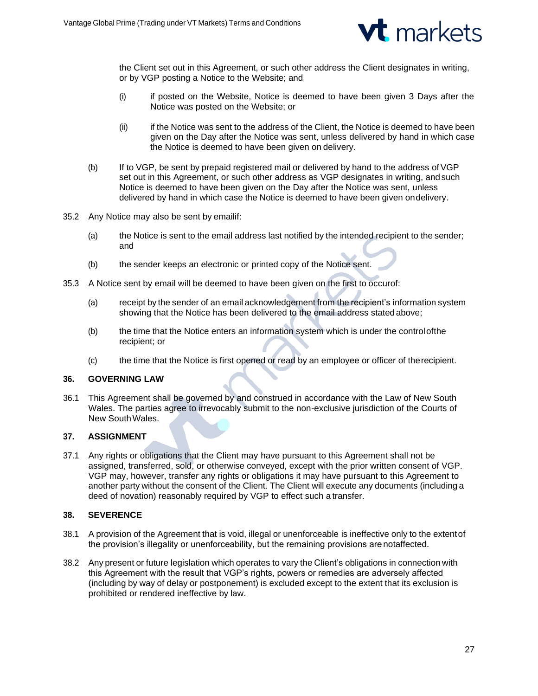

the Client set out in this Agreement, or such other address the Client designates in writing, or by VGP posting a Notice to the Website; and

- (i) if posted on the Website, Notice is deemed to have been given 3 Days after the Notice was posted on the Website; or
- (ii) if the Notice was sent to the address of the Client, the Notice is deemed to have been given on the Day after the Notice was sent, unless delivered by hand in which case the Notice is deemed to have been given on delivery.
- (b) If to VGP, be sent by prepaid registered mail or delivered by hand to the address of VGP set out in this Agreement, or such other address as VGP designates in writing, andsuch Notice is deemed to have been given on the Day after the Notice was sent, unless delivered by hand in which case the Notice is deemed to have been given ondelivery.
- 35.2 Any Notice may also be sent by emailif:
	- (a) the Notice is sent to the email address last notified by the intended recipient to the sender; and
	- (b) the sender keeps an electronic or printed copy of the Notice sent.
- 35.3 A Notice sent by email will be deemed to have been given on the first to occurof:
	- (a) receipt by the sender of an email acknowledgement from the recipient's information system showing that the Notice has been delivered to the email address statedabove;
	- (b) the time that the Notice enters an information system which is under the controlofthe recipient; or
	- (c) the time that the Notice is first opened or read by an employee or officer of therecipient.

### **36. GOVERNING LAW**

36.1 This Agreement shall be governed by and construed in accordance with the Law of New South Wales. The parties agree to irrevocably submit to the non-exclusive jurisdiction of the Courts of New SouthWales.

# **37. ASSIGNMENT**

37.1 Any rights or obligations that the Client may have pursuant to this Agreement shall not be assigned, transferred, sold, or otherwise conveyed, except with the prior written consent of VGP. VGP may, however, transfer any rights or obligations it may have pursuant to this Agreement to another party without the consent of the Client. The Client will execute any documents (including a deed of novation) reasonably required by VGP to effect such a transfer.

# **38. SEVERENCE**

- 38.1 A provision of the Agreement that is void, illegal or unenforceable is ineffective only to the extentof the provision's illegality or unenforceability, but the remaining provisions are notaffected.
- 38.2 Any present or future legislation which operates to vary the Client's obligations in connection with this Agreement with the result that VGP's rights, powers or remedies are adversely affected (including by way of delay or postponement) is excluded except to the extent that its exclusion is prohibited or rendered ineffective by law.